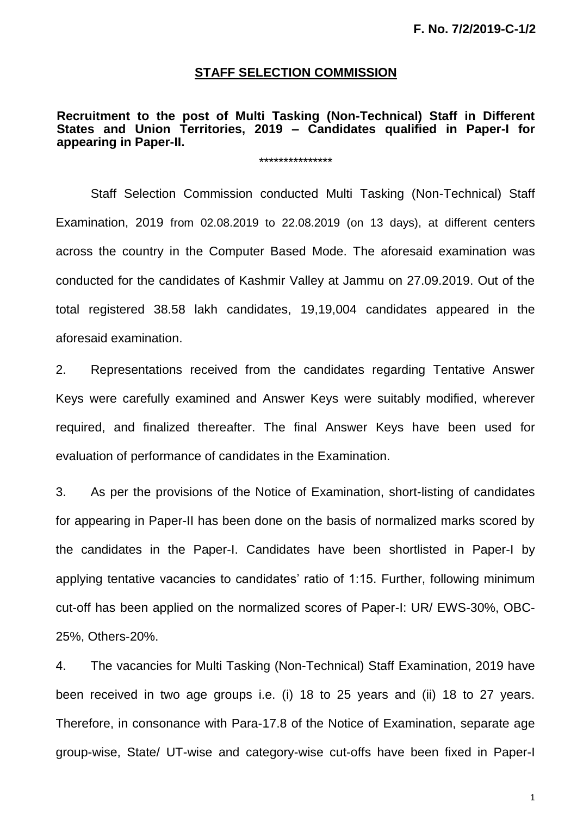### **STAFF SELECTION COMMISSION**

#### **Recruitment to the post of Multi Tasking (Non-Technical) Staff in Different States and Union Territories, 2019 – Candidates qualified in Paper-I for appearing in Paper-II.**

\*\*\*\*\*\*\*\*\*\*\*\*\*\*\*

Staff Selection Commission conducted Multi Tasking (Non-Technical) Staff Examination, 2019 from 02.08.2019 to 22.08.2019 (on 13 days), at different centers across the country in the Computer Based Mode. The aforesaid examination was conducted for the candidates of Kashmir Valley at Jammu on 27.09.2019. Out of the total registered 38.58 lakh candidates, 19,19,004 candidates appeared in the aforesaid examination.

2. Representations received from the candidates regarding Tentative Answer Keys were carefully examined and Answer Keys were suitably modified, wherever required, and finalized thereafter. The final Answer Keys have been used for evaluation of performance of candidates in the Examination.

3. As per the provisions of the Notice of Examination, short-listing of candidates for appearing in Paper-II has been done on the basis of normalized marks scored by the candidates in the Paper-I. Candidates have been shortlisted in Paper-I by applying tentative vacancies to candidates' ratio of 1:15. Further, following minimum cut-off has been applied on the normalized scores of Paper-I: UR/ EWS-30%, OBC-25%, Others-20%.

4. The vacancies for Multi Tasking (Non-Technical) Staff Examination, 2019 have been received in two age groups i.e. (i) 18 to 25 years and (ii) 18 to 27 years. Therefore, in consonance with Para-17.8 of the Notice of Examination, separate age group-wise, State/ UT-wise and category-wise cut-offs have been fixed in Paper-I

1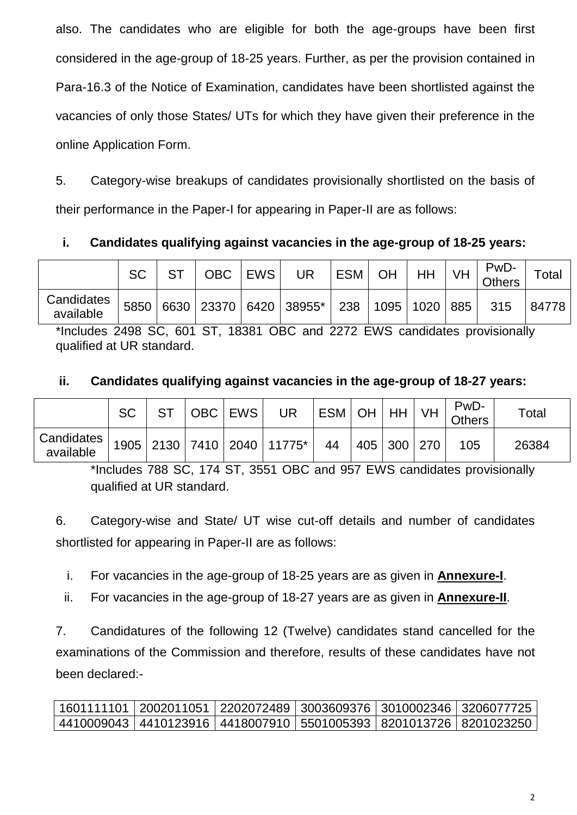also. The candidates who are eligible for both the age-groups have been first considered in the age-group of 18-25 years. Further, as per the provision contained in Para-16.3 of the Notice of Examination, candidates have been shortlisted against the vacancies of only those States/ UTs for which they have given their preference in the online Application Form.

5. Category-wise breakups of candidates provisionally shortlisted on the basis of their performance in the Paper-I for appearing in Paper-II are as follows:

## **i. Candidates qualifying against vacancies in the age-group of 18-25 years:**

|                         | <b>SC</b> | <b>OBC</b> | <b>EWS</b> | UR                          | <b>ESM</b> | OH | HH                      | <b>VH</b> | PwD-<br><b>Others</b> | $\tau$ otal |
|-------------------------|-----------|------------|------------|-----------------------------|------------|----|-------------------------|-----------|-----------------------|-------------|
| Candidates<br>available |           |            |            | 5850 6630 23370 6420 38955* |            |    | 238   1095   1020   885 |           | 315                   | 84778       |

\*Includes 2498 SC, 601 ST, 18381 OBC and 2272 EWS candidates provisionally qualified at UR standard.

### **ii. Candidates qualifying against vacancies in the age-group of 18-27 years:**

|                                                                                                                                  | <b>SC</b> |  | OBC EWS | <b>UR</b> | ESM OH HH VH |                 |  | PwD-<br><b>Others</b> | $\tau$ otal |
|----------------------------------------------------------------------------------------------------------------------------------|-----------|--|---------|-----------|--------------|-----------------|--|-----------------------|-------------|
| $\left \begin{array}{c c} \texttt{Candidates} & 1905 & 2130 & 7410 & 2040 & 11775^* \\ \texttt{available} & \end{array}\right .$ |           |  |         |           | - 44         | 405   300   270 |  | 105                   | 26384       |

\*Includes 788 SC, 174 ST, 3551 OBC and 957 EWS candidates provisionally qualified at UR standard.

6. Category-wise and State/ UT wise cut-off details and number of candidates shortlisted for appearing in Paper-II are as follows:

i. For vacancies in the age-group of 18-25 years are as given in **Annexure-I**.

ii. For vacancies in the age-group of 18-27 years are as given in **Annexure-II**.

7. Candidatures of the following 12 (Twelve) candidates stand cancelled for the examinations of the Commission and therefore, results of these candidates have not been declared:-

|  | 1601111101   2002011051   2202072489   3003609376   3010002346   3206077725 |  |
|--|-----------------------------------------------------------------------------|--|
|  | 4410009043   4410123916   4418007910   5501005393   8201013726   8201023250 |  |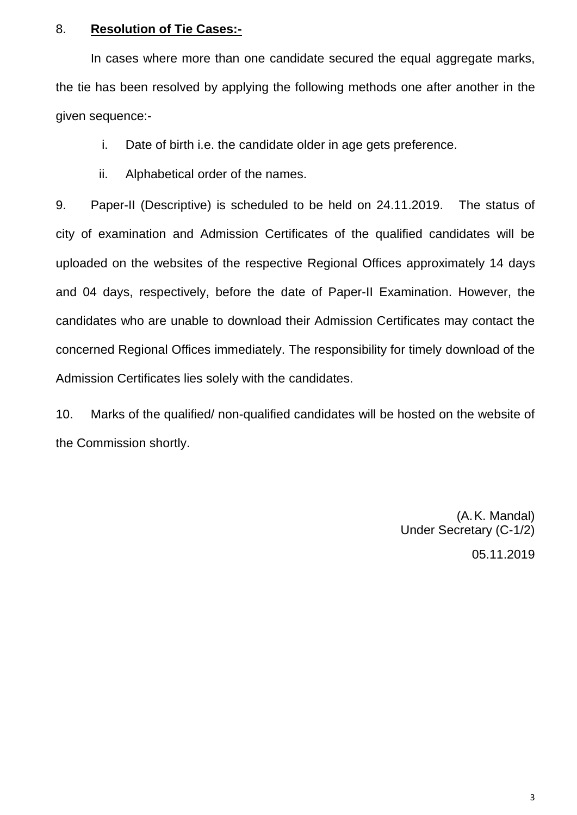#### 8. **Resolution of Tie Cases:-**

In cases where more than one candidate secured the equal aggregate marks, the tie has been resolved by applying the following methods one after another in the given sequence:-

i. Date of birth i.e. the candidate older in age gets preference.

ii. Alphabetical order of the names.

9. Paper-II (Descriptive) is scheduled to be held on 24.11.2019. The status of city of examination and Admission Certificates of the qualified candidates will be uploaded on the websites of the respective Regional Offices approximately 14 days and 04 days, respectively, before the date of Paper-II Examination. However, the candidates who are unable to download their Admission Certificates may contact the concerned Regional Offices immediately. The responsibility for timely download of the Admission Certificates lies solely with the candidates.

10. Marks of the qualified/ non-qualified candidates will be hosted on the website of the Commission shortly.

> (A.K. Mandal) Under Secretary (C-1/2) 05.11.2019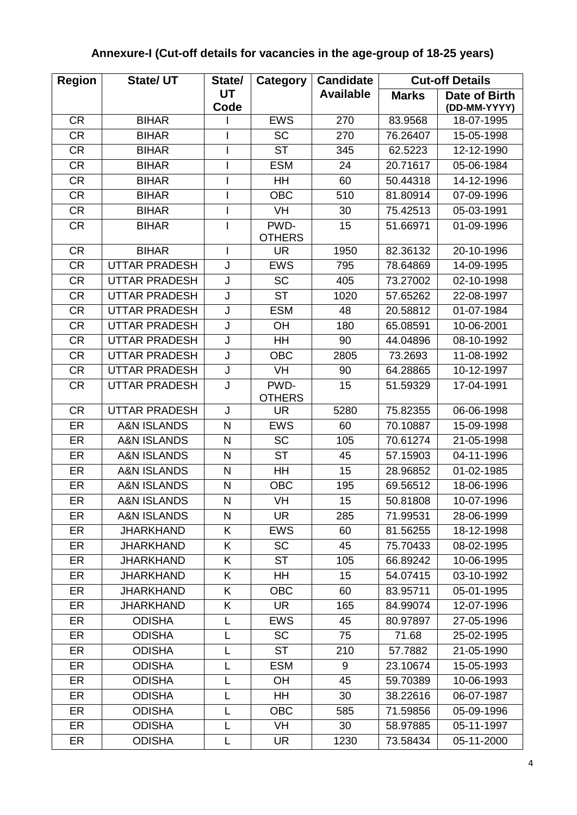# **Annexure-I (Cut-off details for vacancies in the age-group of 18-25 years)**

| <b>Region</b> | <b>State/ UT</b>       | State/       | Category              | <b>Candidate</b> |              | <b>Cut-off Details</b> |
|---------------|------------------------|--------------|-----------------------|------------------|--------------|------------------------|
|               |                        | UT           |                       | <b>Available</b> | <b>Marks</b> | Date of Birth          |
|               |                        | Code         |                       |                  |              | (DD-MM-YYYY)           |
| <b>CR</b>     | <b>BIHAR</b>           |              | <b>EWS</b>            | 270              | 83.9568      | 18-07-1995             |
| <b>CR</b>     | <b>BIHAR</b>           |              | <b>SC</b>             | 270              | 76.26407     | 15-05-1998             |
| <b>CR</b>     | <b>BIHAR</b>           |              | <b>ST</b>             | 345              | 62.5223      | 12-12-1990             |
| <b>CR</b>     | <b>BIHAR</b>           |              | <b>ESM</b>            | 24               | 20.71617     | 05-06-1984             |
| <b>CR</b>     | <b>BIHAR</b>           |              | HH                    | 60               | 50.44318     | 14-12-1996             |
| <b>CR</b>     | <b>BIHAR</b>           |              | <b>OBC</b>            | 510              | 81.80914     | 07-09-1996             |
| <b>CR</b>     | <b>BIHAR</b>           |              | <b>VH</b>             | 30               | 75.42513     | 05-03-1991             |
| <b>CR</b>     | <b>BIHAR</b>           |              | PWD-<br><b>OTHERS</b> | 15               | 51.66971     | 01-09-1996             |
| <b>CR</b>     | <b>BIHAR</b>           |              | <b>UR</b>             | 1950             | 82.36132     | 20-10-1996             |
| <b>CR</b>     | <b>UTTAR PRADESH</b>   | J            | <b>EWS</b>            | 795              | 78.64869     | 14-09-1995             |
| <b>CR</b>     | <b>UTTAR PRADESH</b>   | J            | <b>SC</b>             | 405              | 73.27002     | 02-10-1998             |
| <b>CR</b>     | <b>UTTAR PRADESH</b>   | J            | <b>ST</b>             | 1020             | 57.65262     | 22-08-1997             |
| <b>CR</b>     | <b>UTTAR PRADESH</b>   | J            | <b>ESM</b>            | 48               | 20.58812     | 01-07-1984             |
| <b>CR</b>     | <b>UTTAR PRADESH</b>   | J            | OH                    | 180              | 65.08591     | 10-06-2001             |
| <b>CR</b>     | <b>UTTAR PRADESH</b>   | J            | HH                    | 90               | 44.04896     | 08-10-1992             |
| <b>CR</b>     | <b>UTTAR PRADESH</b>   | J            | <b>OBC</b>            | 2805             | 73.2693      | 11-08-1992             |
| <b>CR</b>     | <b>UTTAR PRADESH</b>   | J            | VH                    | 90               | 64.28865     | 10-12-1997             |
| <b>CR</b>     | <b>UTTAR PRADESH</b>   | J            | PWD-<br><b>OTHERS</b> | 15               | 51.59329     | 17-04-1991             |
| <b>CR</b>     | <b>UTTAR PRADESH</b>   | J            | <b>UR</b>             | 5280             | 75.82355     | 06-06-1998             |
| ER            | <b>A&amp;N ISLANDS</b> | ${\sf N}$    | <b>EWS</b>            | 60               | 70.10887     | 15-09-1998             |
| ER            | <b>A&amp;N ISLANDS</b> | $\mathsf{N}$ | <b>SC</b>             | 105              | 70.61274     | 21-05-1998             |
| ER            | <b>A&amp;N ISLANDS</b> | $\mathsf{N}$ | <b>ST</b>             | 45               | 57.15903     | 04-11-1996             |
| ER            | <b>A&amp;N ISLANDS</b> | ${\sf N}$    | HH                    | 15               | 28.96852     | 01-02-1985             |
| ER            | <b>A&amp;N ISLANDS</b> | $\mathsf{N}$ | <b>OBC</b>            | 195              | 69.56512     | 18-06-1996             |
| ER            | <b>A&amp;N ISLANDS</b> | N            | VH                    | 15               | 50.81808     | 10-07-1996             |
| ER            | <b>A&amp;N ISLANDS</b> | N            | <b>UR</b>             | 285              | 71.99531     | 28-06-1999             |
| ER            | <b>JHARKHAND</b>       | K            | <b>EWS</b>            | 60               | 81.56255     | 18-12-1998             |
| ER            | <b>JHARKHAND</b>       | K            | <b>SC</b>             | 45               | 75.70433     | 08-02-1995             |
| ER            | <b>JHARKHAND</b>       | K            | <b>ST</b>             | 105              | 66.89242     | 10-06-1995             |
| ER            | <b>JHARKHAND</b>       | K            | HH                    | 15               | 54.07415     | 03-10-1992             |
| ER            | <b>JHARKHAND</b>       | K            | <b>OBC</b>            | 60               | 83.95711     | 05-01-1995             |
| ER            | <b>JHARKHAND</b>       | Κ            | <b>UR</b>             | 165              | 84.99074     | 12-07-1996             |
| ER            | <b>ODISHA</b>          | L            | <b>EWS</b>            | 45               | 80.97897     | 27-05-1996             |
| ER            | <b>ODISHA</b>          | L            | <b>SC</b>             | 75               | 71.68        | 25-02-1995             |
| ER            | <b>ODISHA</b>          | L            | <b>ST</b>             | 210              | 57.7882      | 21-05-1990             |
| ER            | <b>ODISHA</b>          | L            | <b>ESM</b>            | 9                | 23.10674     | 15-05-1993             |
| ER            | <b>ODISHA</b>          | L            | <b>OH</b>             | 45               | 59.70389     | 10-06-1993             |
| ER            | <b>ODISHA</b>          | L            | HH                    | 30               | 38.22616     | 06-07-1987             |
| ER            | <b>ODISHA</b>          | L            | <b>OBC</b>            | 585              | 71.59856     | 05-09-1996             |
| ER            | <b>ODISHA</b>          | L            | VH                    | 30               | 58.97885     | 05-11-1997             |
| ER            | <b>ODISHA</b>          | L            | UR                    | 1230             | 73.58434     | 05-11-2000             |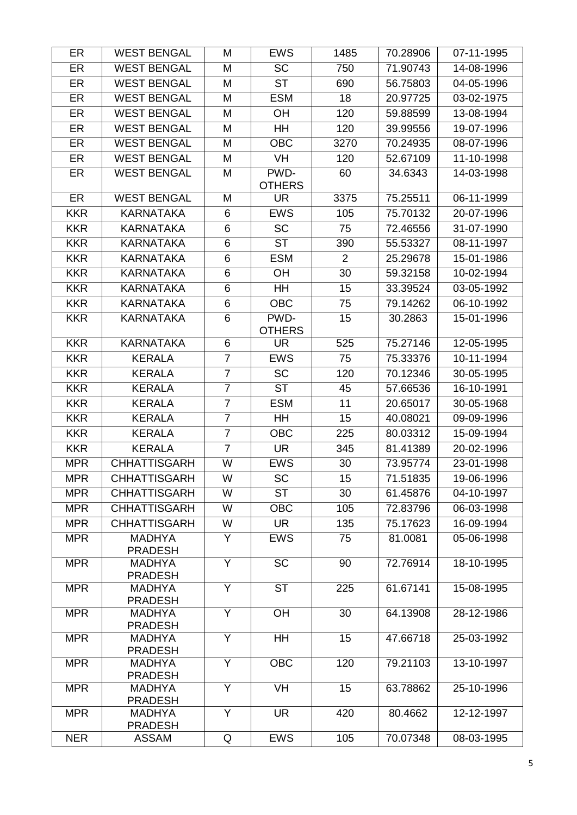| ER         | <b>WEST BENGAL</b>              | M              | <b>EWS</b>      | 1485           | 70.28906 | 07-11-1995 |
|------------|---------------------------------|----------------|-----------------|----------------|----------|------------|
| ER         | <b>WEST BENGAL</b>              | M              | $\overline{SC}$ | 750            | 71.90743 | 14-08-1996 |
| ER         | <b>WEST BENGAL</b>              | M              | <b>ST</b>       | 690            | 56.75803 | 04-05-1996 |
| ER         | <b>WEST BENGAL</b>              | M              | <b>ESM</b>      | 18             | 20.97725 | 03-02-1975 |
| ER         | <b>WEST BENGAL</b>              | M              | OH              | 120            | 59.88599 | 13-08-1994 |
| ER         | <b>WEST BENGAL</b>              | M              | HH              | 120            | 39.99556 | 19-07-1996 |
| ER         | <b>WEST BENGAL</b>              | M              | <b>OBC</b>      | 3270           | 70.24935 | 08-07-1996 |
| ER         | <b>WEST BENGAL</b>              | M              | VH              | 120            | 52.67109 | 11-10-1998 |
| ER         | <b>WEST BENGAL</b>              | M              | PWD-            | 60             | 34.6343  | 14-03-1998 |
|            |                                 |                | <b>OTHERS</b>   |                |          |            |
| ER         | <b>WEST BENGAL</b>              | M              | UR.             | 3375           | 75.25511 | 06-11-1999 |
| <b>KKR</b> | <b>KARNATAKA</b>                | 6              | <b>EWS</b>      | 105            | 75.70132 | 20-07-1996 |
| <b>KKR</b> | <b>KARNATAKA</b>                | 6              | <b>SC</b>       | 75             | 72.46556 | 31-07-1990 |
| <b>KKR</b> | <b>KARNATAKA</b>                | 6              | <b>ST</b>       | 390            | 55.53327 | 08-11-1997 |
| <b>KKR</b> | <b>KARNATAKA</b>                | 6              | <b>ESM</b>      | $\overline{2}$ | 25.29678 | 15-01-1986 |
| <b>KKR</b> | <b>KARNATAKA</b>                | 6              | <b>OH</b>       | 30             | 59.32158 | 10-02-1994 |
| <b>KKR</b> | <b>KARNATAKA</b>                | 6              | HH              | 15             | 33.39524 | 03-05-1992 |
| <b>KKR</b> | <b>KARNATAKA</b>                | 6              | <b>OBC</b>      | 75             | 79.14262 | 06-10-1992 |
| <b>KKR</b> | <b>KARNATAKA</b>                | 6              | PWD-            | 15             | 30.2863  | 15-01-1996 |
|            |                                 |                | <b>OTHERS</b>   |                |          |            |
| <b>KKR</b> | <b>KARNATAKA</b>                | 6              | UR              | 525            | 75.27146 | 12-05-1995 |
| <b>KKR</b> | <b>KERALA</b>                   | $\overline{7}$ | <b>EWS</b>      | 75             | 75.33376 | 10-11-1994 |
| <b>KKR</b> | <b>KERALA</b>                   | $\overline{7}$ | <b>SC</b>       | 120            | 70.12346 | 30-05-1995 |
| <b>KKR</b> | <b>KERALA</b>                   | $\overline{7}$ | <b>ST</b>       | 45             | 57.66536 | 16-10-1991 |
| <b>KKR</b> | <b>KERALA</b>                   | $\overline{7}$ | <b>ESM</b>      | 11             | 20.65017 | 30-05-1968 |
| <b>KKR</b> | <b>KERALA</b>                   | $\overline{7}$ | <b>HH</b>       | 15             | 40.08021 | 09-09-1996 |
| <b>KKR</b> | <b>KERALA</b>                   | $\overline{7}$ | <b>OBC</b>      | 225            | 80.03312 | 15-09-1994 |
| <b>KKR</b> | <b>KERALA</b>                   | $\overline{7}$ | <b>UR</b>       | 345            | 81.41389 | 20-02-1996 |
| <b>MPR</b> | <b>CHHATTISGARH</b>             | W              | <b>EWS</b>      | 30             | 73.95774 | 23-01-1998 |
| <b>MPR</b> | <b>CHHATTISGARH</b>             | W              | SC              | 15             | 71.51835 | 19-06-1996 |
| <b>MPR</b> | <b>CHHATTISGARH</b>             | W              | <b>ST</b>       | 30             | 61.45876 | 04-10-1997 |
| <b>MPR</b> | <b>CHHATTISGARH</b>             | W              | <b>OBC</b>      | 105            | 72.83796 | 06-03-1998 |
| <b>MPR</b> | <b>CHHATTISGARH</b>             | W              | <b>UR</b>       | 135            | 75.17623 | 16-09-1994 |
| <b>MPR</b> | <b>MADHYA</b><br><b>PRADESH</b> | Y              | <b>EWS</b>      | 75             | 81.0081  | 05-06-1998 |
| <b>MPR</b> | <b>MADHYA</b><br><b>PRADESH</b> | $\overline{Y}$ | <b>SC</b>       | 90             | 72.76914 | 18-10-1995 |
| <b>MPR</b> | <b>MADHYA</b><br><b>PRADESH</b> | Y              | <b>ST</b>       | 225            | 61.67141 | 15-08-1995 |
| <b>MPR</b> | <b>MADHYA</b><br><b>PRADESH</b> | Y              | OH              | 30             | 64.13908 | 28-12-1986 |
| <b>MPR</b> | <b>MADHYA</b><br><b>PRADESH</b> | Y              | <b>HH</b>       | 15             | 47.66718 | 25-03-1992 |
| <b>MPR</b> | <b>MADHYA</b><br><b>PRADESH</b> | Y              | <b>OBC</b>      | 120            | 79.21103 | 13-10-1997 |
| <b>MPR</b> | <b>MADHYA</b><br><b>PRADESH</b> | Y              | <b>VH</b>       | 15             | 63.78862 | 25-10-1996 |
| <b>MPR</b> | <b>MADHYA</b><br><b>PRADESH</b> | Y              | <b>UR</b>       | 420            | 80.4662  | 12-12-1997 |
| <b>NER</b> | <b>ASSAM</b>                    | Q              | <b>EWS</b>      | 105            | 70.07348 | 08-03-1995 |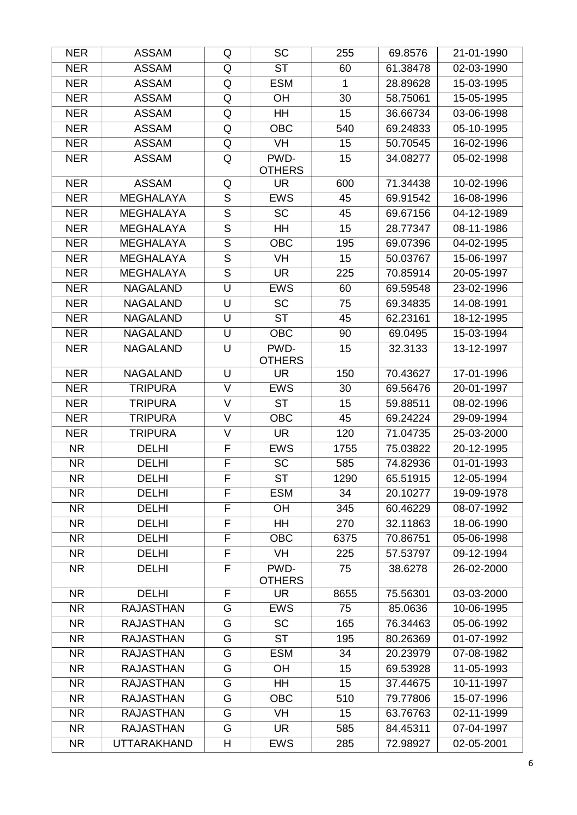| <b>NER</b> | <b>ASSAM</b>       | Q                       | <b>SC</b>              | 255  | 69.8576  | 21-01-1990 |
|------------|--------------------|-------------------------|------------------------|------|----------|------------|
| <b>NER</b> | <b>ASSAM</b>       | Q                       | $\overline{\text{ST}}$ | 60   | 61.38478 | 02-03-1990 |
| <b>NER</b> | <b>ASSAM</b>       | Q                       | <b>ESM</b>             | 1    | 28.89628 | 15-03-1995 |
| <b>NER</b> | <b>ASSAM</b>       | Q                       | <b>OH</b>              | 30   | 58.75061 | 15-05-1995 |
| <b>NER</b> | <b>ASSAM</b>       | Q                       | HH                     | 15   | 36.66734 | 03-06-1998 |
| <b>NER</b> | <b>ASSAM</b>       | Q                       | <b>OBC</b>             | 540  | 69.24833 | 05-10-1995 |
| <b>NER</b> | <b>ASSAM</b>       | Q                       | VH                     | 15   | 50.70545 | 16-02-1996 |
| <b>NER</b> | <b>ASSAM</b>       | Q                       | PWD-                   | 15   | 34.08277 | 05-02-1998 |
|            |                    |                         | <b>OTHERS</b>          |      |          |            |
| <b>NER</b> | <b>ASSAM</b>       | Q                       | <b>UR</b>              | 600  | 71.34438 | 10-02-1996 |
| <b>NER</b> | <b>MEGHALAYA</b>   | $\mathsf S$             | <b>EWS</b>             | 45   | 69.91542 | 16-08-1996 |
| <b>NER</b> | <b>MEGHALAYA</b>   | $\overline{S}$          | <b>SC</b>              | 45   | 69.67156 | 04-12-1989 |
| <b>NER</b> | <b>MEGHALAYA</b>   | ${\mathsf S}$           | HH                     | 15   | 28.77347 | 08-11-1986 |
| <b>NER</b> | <b>MEGHALAYA</b>   | $\overline{\mathsf{s}}$ | <b>OBC</b>             | 195  | 69.07396 | 04-02-1995 |
| <b>NER</b> | <b>MEGHALAYA</b>   | $\overline{S}$          | <b>VH</b>              | 15   | 50.03767 | 15-06-1997 |
| <b>NER</b> | <b>MEGHALAYA</b>   | $\overline{S}$          | <b>UR</b>              | 225  | 70.85914 | 20-05-1997 |
| <b>NER</b> | <b>NAGALAND</b>    | U                       | <b>EWS</b>             | 60   | 69.59548 | 23-02-1996 |
| <b>NER</b> | <b>NAGALAND</b>    | U                       | <b>SC</b>              | 75   | 69.34835 | 14-08-1991 |
| <b>NER</b> | <b>NAGALAND</b>    | U                       | <b>ST</b>              | 45   | 62.23161 | 18-12-1995 |
| <b>NER</b> | <b>NAGALAND</b>    | U                       | <b>OBC</b>             | 90   | 69.0495  | 15-03-1994 |
| <b>NER</b> | <b>NAGALAND</b>    | U                       | PWD-<br><b>OTHERS</b>  | 15   | 32.3133  | 13-12-1997 |
| <b>NER</b> | <b>NAGALAND</b>    | U                       | <b>UR</b>              | 150  | 70.43627 | 17-01-1996 |
| <b>NER</b> | <b>TRIPURA</b>     | V                       | <b>EWS</b>             | 30   | 69.56476 | 20-01-1997 |
| <b>NER</b> | <b>TRIPURA</b>     | $\vee$                  | <b>ST</b>              | 15   | 59.88511 | 08-02-1996 |
| <b>NER</b> | <b>TRIPURA</b>     | $\vee$                  | <b>OBC</b>             | 45   | 69.24224 | 29-09-1994 |
| <b>NER</b> | <b>TRIPURA</b>     | $\vee$                  | <b>UR</b>              | 120  | 71.04735 | 25-03-2000 |
| <b>NR</b>  | <b>DELHI</b>       | F                       | <b>EWS</b>             | 1755 | 75.03822 | 20-12-1995 |
| <b>NR</b>  | <b>DELHI</b>       | $\overline{F}$          | <b>SC</b>              | 585  | 74.82936 | 01-01-1993 |
| <b>NR</b>  | <b>DELHI</b>       | F                       | ST                     | 1290 | 65.51915 | 12-05-1994 |
| NR.        | <b>DELHI</b>       | F                       | <b>ESM</b>             | 34   | 20.10277 | 19-09-1978 |
| <b>NR</b>  | <b>DELHI</b>       | F                       | OH                     | 345  | 60.46229 | 08-07-1992 |
| <b>NR</b>  | <b>DELHI</b>       | F                       | HH                     | 270  | 32.11863 | 18-06-1990 |
| <b>NR</b>  | <b>DELHI</b>       | F                       | <b>OBC</b>             | 6375 | 70.86751 | 05-06-1998 |
| <b>NR</b>  | <b>DELHI</b>       | F                       | VH                     | 225  | 57.53797 | 09-12-1994 |
| <b>NR</b>  | <b>DELHI</b>       | F                       | PWD-<br><b>OTHERS</b>  | 75   | 38.6278  | 26-02-2000 |
| <b>NR</b>  | <b>DELHI</b>       | F                       | UR.                    | 8655 | 75.56301 | 03-03-2000 |
| <b>NR</b>  | <b>RAJASTHAN</b>   | G                       | <b>EWS</b>             | 75   | 85.0636  | 10-06-1995 |
| <b>NR</b>  | <b>RAJASTHAN</b>   | G                       | <b>SC</b>              | 165  | 76.34463 | 05-06-1992 |
| <b>NR</b>  | <b>RAJASTHAN</b>   | G                       | <b>ST</b>              | 195  | 80.26369 | 01-07-1992 |
| <b>NR</b>  | <b>RAJASTHAN</b>   | G                       | <b>ESM</b>             | 34   | 20.23979 | 07-08-1982 |
| <b>NR</b>  | <b>RAJASTHAN</b>   | G                       | <b>OH</b>              | 15   | 69.53928 | 11-05-1993 |
| <b>NR</b>  | <b>RAJASTHAN</b>   | G                       | <b>HH</b>              | 15   | 37.44675 | 10-11-1997 |
| <b>NR</b>  | <b>RAJASTHAN</b>   | G                       | <b>OBC</b>             | 510  | 79.77806 | 15-07-1996 |
| <b>NR</b>  | <b>RAJASTHAN</b>   | G                       | VH                     | 15   | 63.76763 | 02-11-1999 |
| <b>NR</b>  | <b>RAJASTHAN</b>   | G                       | UR.                    | 585  | 84.45311 | 07-04-1997 |
| <b>NR</b>  | <b>UTTARAKHAND</b> | H                       | <b>EWS</b>             | 285  | 72.98927 | 02-05-2001 |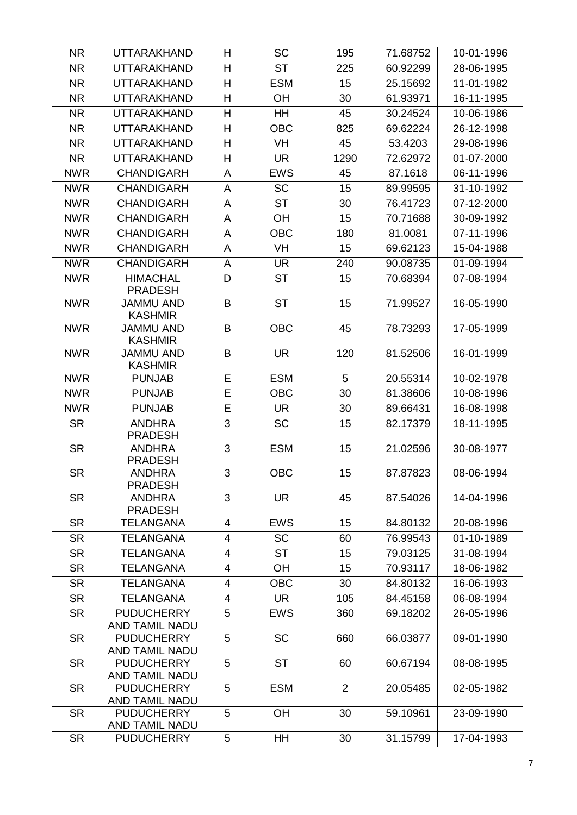| <b>NR</b>  | <b>UTTARAKHAND</b>                  | H              | <b>SC</b>              | 195            | 71.68752 | 10-01-1996 |
|------------|-------------------------------------|----------------|------------------------|----------------|----------|------------|
| <b>NR</b>  | <b>UTTARAKHAND</b>                  | H              | $\overline{\text{ST}}$ | 225            | 60.92299 | 28-06-1995 |
| <b>NR</b>  | <b>UTTARAKHAND</b>                  | H              | <b>ESM</b>             | 15             | 25.15692 | 11-01-1982 |
| <b>NR</b>  | <b>UTTARAKHAND</b>                  | H              | <b>OH</b>              | 30             | 61.93971 | 16-11-1995 |
| <b>NR</b>  | <b>UTTARAKHAND</b>                  | H              | <b>HH</b>              | 45             | 30.24524 | 10-06-1986 |
| <b>NR</b>  | <b>UTTARAKHAND</b>                  | H              | <b>OBC</b>             | 825            | 69.62224 | 26-12-1998 |
| <b>NR</b>  | <b>UTTARAKHAND</b>                  | H              | <b>VH</b>              | 45             | 53.4203  | 29-08-1996 |
| <b>NR</b>  | <b>UTTARAKHAND</b>                  | Н              | <b>UR</b>              | 1290           | 72.62972 | 01-07-2000 |
| <b>NWR</b> | <b>CHANDIGARH</b>                   | A              | <b>EWS</b>             | 45             | 87.1618  | 06-11-1996 |
| <b>NWR</b> | <b>CHANDIGARH</b>                   | A              | <b>SC</b>              | 15             | 89.99595 | 31-10-1992 |
| <b>NWR</b> | <b>CHANDIGARH</b>                   | A              | <b>ST</b>              | 30             | 76.41723 | 07-12-2000 |
| <b>NWR</b> | <b>CHANDIGARH</b>                   | A              | OH                     | 15             | 70.71688 | 30-09-1992 |
| <b>NWR</b> | <b>CHANDIGARH</b>                   | A              | <b>OBC</b>             | 180            | 81.0081  | 07-11-1996 |
| <b>NWR</b> | <b>CHANDIGARH</b>                   | A              | VH                     | 15             | 69.62123 | 15-04-1988 |
| <b>NWR</b> | <b>CHANDIGARH</b>                   | A              | <b>UR</b>              | 240            | 90.08735 | 01-09-1994 |
| <b>NWR</b> | <b>HIMACHAL</b><br><b>PRADESH</b>   | D              | <b>ST</b>              | 15             | 70.68394 | 07-08-1994 |
| <b>NWR</b> | JAMMU AND<br><b>KASHMIR</b>         | B              | <b>ST</b>              | 15             | 71.99527 | 16-05-1990 |
| <b>NWR</b> | <b>JAMMU AND</b><br><b>KASHMIR</b>  | B              | <b>OBC</b>             | 45             | 78.73293 | 17-05-1999 |
| <b>NWR</b> | <b>JAMMU AND</b><br><b>KASHMIR</b>  | B              | <b>UR</b>              | 120            | 81.52506 | 16-01-1999 |
| <b>NWR</b> | <b>PUNJAB</b>                       | E              | <b>ESM</b>             | 5              | 20.55314 | 10-02-1978 |
| <b>NWR</b> | <b>PUNJAB</b>                       | E              | <b>OBC</b>             | 30             | 81.38606 | 10-08-1996 |
| <b>NWR</b> | <b>PUNJAB</b>                       | E              | <b>UR</b>              | 30             | 89.66431 | 16-08-1998 |
| <b>SR</b>  | <b>ANDHRA</b><br><b>PRADESH</b>     | 3              | <b>SC</b>              | 15             | 82.17379 | 18-11-1995 |
| <b>SR</b>  | <b>ANDHRA</b><br><b>PRADESH</b>     | 3              | <b>ESM</b>             | 15             | 21.02596 | 30-08-1977 |
| <b>SR</b>  | <b>ANDHRA</b><br><b>PRADESH</b>     | 3              | <b>OBC</b>             | 15             | 87.87823 | 08-06-1994 |
| <b>SR</b>  | <b>ANDHRA</b><br><b>PRADESH</b>     | 3              | <b>UR</b>              | 45             | 87.54026 | 14-04-1996 |
| <b>SR</b>  | <b>TELANGANA</b>                    | $\overline{4}$ | <b>EWS</b>             | 15             | 84.80132 | 20-08-1996 |
| <b>SR</b>  | <b>TELANGANA</b>                    | 4              | <b>SC</b>              | 60             | 76.99543 | 01-10-1989 |
| <b>SR</b>  | <b>TELANGANA</b>                    | 4              | <b>ST</b>              | 15             | 79.03125 | 31-08-1994 |
| <b>SR</b>  | <b>TELANGANA</b>                    | 4              | <b>OH</b>              | 15             | 70.93117 | 18-06-1982 |
| <b>SR</b>  | <b>TELANGANA</b>                    | 4              | <b>OBC</b>             | 30             | 84.80132 | 16-06-1993 |
| <b>SR</b>  | <b>TELANGANA</b>                    | 4              | <b>UR</b>              | 105            | 84.45158 | 06-08-1994 |
| <b>SR</b>  | <b>PUDUCHERRY</b><br>AND TAMIL NADU | 5              | <b>EWS</b>             | 360            | 69.18202 | 26-05-1996 |
| <b>SR</b>  | <b>PUDUCHERRY</b><br>AND TAMIL NADU | 5              | <b>SC</b>              | 660            | 66.03877 | 09-01-1990 |
| <b>SR</b>  | <b>PUDUCHERRY</b><br>AND TAMIL NADU | 5              | <b>ST</b>              | 60             | 60.67194 | 08-08-1995 |
| <b>SR</b>  | <b>PUDUCHERRY</b><br>AND TAMIL NADU | 5              | <b>ESM</b>             | $\overline{2}$ | 20.05485 | 02-05-1982 |
| <b>SR</b>  | <b>PUDUCHERRY</b><br>AND TAMIL NADU | 5              | OH                     | 30             | 59.10961 | 23-09-1990 |
| <b>SR</b>  | <b>PUDUCHERRY</b>                   | 5              | HH                     | 30             | 31.15799 | 17-04-1993 |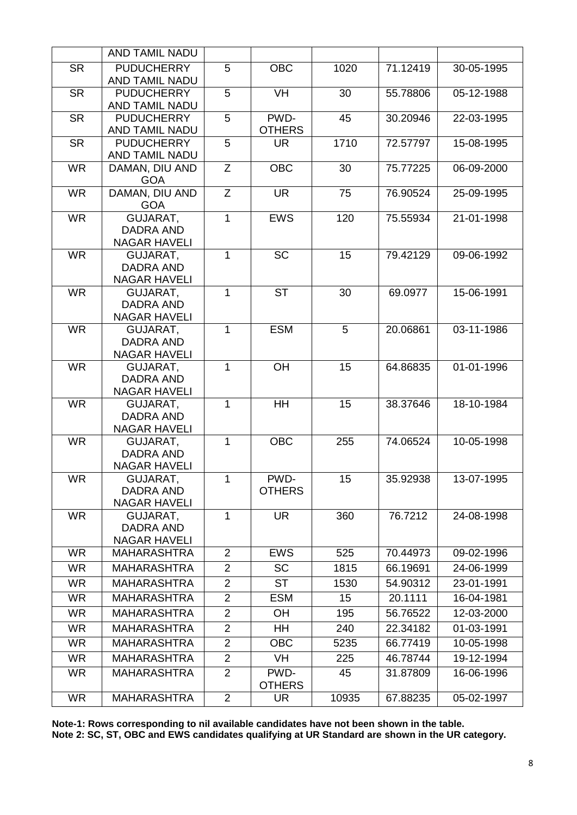|           | AND TAMIL NADU               |                |                        |       |          |            |
|-----------|------------------------------|----------------|------------------------|-------|----------|------------|
| <b>SR</b> | <b>PUDUCHERRY</b>            | $\overline{5}$ | <b>OBC</b>             | 1020  | 71.12419 | 30-05-1995 |
|           | <b>AND TAMIL NADU</b>        |                |                        |       |          |            |
| <b>SR</b> | <b>PUDUCHERRY</b>            | 5              | VH                     | 30    | 55.78806 | 05-12-1988 |
|           | AND TAMIL NADU               |                |                        |       |          |            |
| <b>SR</b> | <b>PUDUCHERRY</b>            | 5              | PWD-                   | 45    | 30.20946 | 22-03-1995 |
|           | AND TAMIL NADU               |                | <b>OTHERS</b>          |       |          |            |
| <b>SR</b> | <b>PUDUCHERRY</b>            | 5              | <b>UR</b>              | 1710  | 72.57797 | 15-08-1995 |
|           | AND TAMIL NADU               |                |                        |       |          |            |
| <b>WR</b> | DAMAN, DIU AND<br><b>GOA</b> | Z              | <b>OBC</b>             | 30    | 75.77225 | 06-09-2000 |
| <b>WR</b> | DAMAN, DIU AND               | Z              | <b>UR</b>              | 75    | 76.90524 | 25-09-1995 |
|           | <b>GOA</b>                   |                |                        |       |          |            |
| <b>WR</b> | GUJARAT,                     | 1              | <b>EWS</b>             | 120   | 75.55934 | 21-01-1998 |
|           | <b>DADRA AND</b>             |                |                        |       |          |            |
|           | <b>NAGAR HAVELI</b>          |                |                        |       |          |            |
| <b>WR</b> | GUJARAT,                     | 1              | <b>SC</b>              | 15    | 79.42129 | 09-06-1992 |
|           | <b>DADRA AND</b>             |                |                        |       |          |            |
| <b>WR</b> | <b>NAGAR HAVELI</b>          | 1              | $\overline{\text{ST}}$ | 30    |          |            |
|           | GUJARAT,<br><b>DADRA AND</b> |                |                        |       | 69.0977  | 15-06-1991 |
|           | <b>NAGAR HAVELI</b>          |                |                        |       |          |            |
| <b>WR</b> | GUJARAT,                     | 1              | <b>ESM</b>             | 5     | 20.06861 | 03-11-1986 |
|           | <b>DADRA AND</b>             |                |                        |       |          |            |
|           | <b>NAGAR HAVELI</b>          |                |                        |       |          |            |
| <b>WR</b> | GUJARAT,                     | 1              | OH                     | 15    | 64.86835 | 01-01-1996 |
|           | <b>DADRA AND</b>             |                |                        |       |          |            |
|           | <b>NAGAR HAVELI</b>          |                |                        |       |          |            |
| <b>WR</b> | GUJARAT,<br><b>DADRA AND</b> | 1              | $\overline{H}$         | 15    | 38.37646 | 18-10-1984 |
|           | <b>NAGAR HAVELI</b>          |                |                        |       |          |            |
| <b>WR</b> | GUJARAT,                     | 1              | <b>OBC</b>             | 255   | 74.06524 | 10-05-1998 |
|           | DADRA AND                    |                |                        |       |          |            |
|           | <b>NAGAR HAVELI</b>          |                |                        |       |          |            |
| <b>WR</b> | GUJARAT,                     | 1              | PWD-                   | 15    | 35.92938 | 13-07-1995 |
|           | <b>DADRA AND</b>             |                | <b>OTHERS</b>          |       |          |            |
|           | <b>NAGAR HAVELI</b>          |                |                        |       |          |            |
| <b>WR</b> | GUJARAT,<br>DADRA AND        | 1              | <b>UR</b>              | 360   | 76.7212  | 24-08-1998 |
|           | <b>NAGAR HAVELI</b>          |                |                        |       |          |            |
| <b>WR</b> | <b>MAHARASHTRA</b>           | 2              | <b>EWS</b>             | 525   | 70.44973 | 09-02-1996 |
| <b>WR</b> | <b>MAHARASHTRA</b>           | $\overline{2}$ | <b>SC</b>              | 1815  | 66.19691 | 24-06-1999 |
| <b>WR</b> | <b>MAHARASHTRA</b>           | $\overline{2}$ | <b>ST</b>              | 1530  | 54.90312 | 23-01-1991 |
|           | <b>MAHARASHTRA</b>           | $\overline{2}$ | <b>ESM</b>             | 15    |          |            |
| <b>WR</b> |                              |                |                        |       | 20.1111  | 16-04-1981 |
| <b>WR</b> | <b>MAHARASHTRA</b>           | $\overline{2}$ | <b>OH</b>              | 195   | 56.76522 | 12-03-2000 |
| <b>WR</b> | <b>MAHARASHTRA</b>           | 2              | HH                     | 240   | 22.34182 | 01-03-1991 |
| <b>WR</b> | <b>MAHARASHTRA</b>           | $\overline{2}$ | <b>OBC</b>             | 5235  | 66.77419 | 10-05-1998 |
| <b>WR</b> | <b>MAHARASHTRA</b>           | $\overline{2}$ | <b>VH</b>              | 225   | 46.78744 | 19-12-1994 |
| <b>WR</b> | <b>MAHARASHTRA</b>           | $\overline{2}$ | PWD-<br><b>OTHERS</b>  | 45    | 31.87809 | 16-06-1996 |
| <b>WR</b> | <b>MAHARASHTRA</b>           | $\overline{2}$ | <b>UR</b>              | 10935 | 67.88235 | 05-02-1997 |

**Note-1: Rows corresponding to nil available candidates have not been shown in the table.**

**Note 2: SC, ST, OBC and EWS candidates qualifying at UR Standard are shown in the UR category.**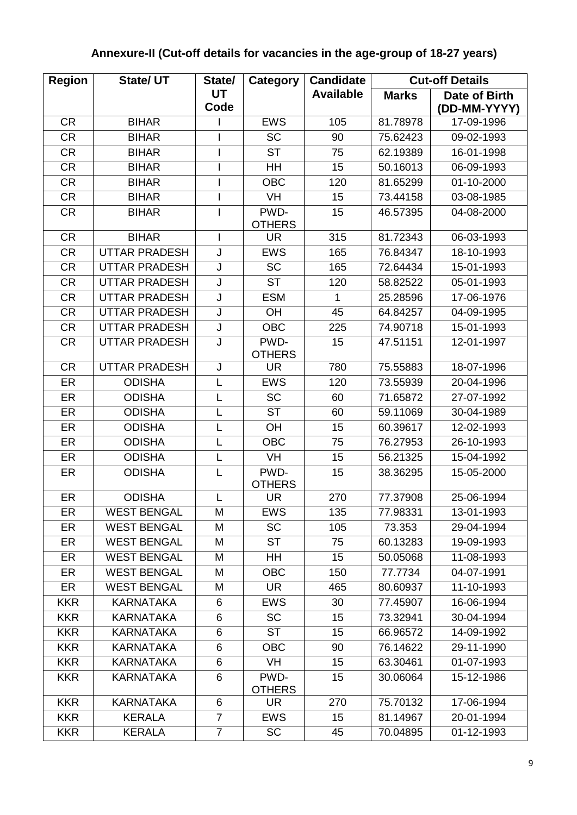# **Annexure-II (Cut-off details for vacancies in the age-group of 18-27 years)**

| <b>Region</b> | <b>State/ UT</b>     | State/         | Category              | <b>Candidate</b> |              | <b>Cut-off Details</b> |
|---------------|----------------------|----------------|-----------------------|------------------|--------------|------------------------|
|               |                      | <b>UT</b>      |                       | <b>Available</b> | <b>Marks</b> | Date of Birth          |
|               |                      | Code           |                       |                  |              | (DD-MM-YYYY)           |
| <b>CR</b>     | <b>BIHAR</b>         |                | <b>EWS</b>            | 105              | 81.78978     | 17-09-1996             |
| <b>CR</b>     | <b>BIHAR</b>         |                | <b>SC</b>             | 90               | 75.62423     | 09-02-1993             |
| <b>CR</b>     | <b>BIHAR</b>         |                | <b>ST</b>             | 75               | 62.19389     | 16-01-1998             |
| <b>CR</b>     | <b>BIHAR</b>         |                | HH                    | 15               | 50.16013     | 06-09-1993             |
| <b>CR</b>     | <b>BIHAR</b>         |                | <b>OBC</b>            | 120              | 81.65299     | 01-10-2000             |
| <b>CR</b>     | <b>BIHAR</b>         | I              | VH                    | 15               | 73.44158     | 03-08-1985             |
| <b>CR</b>     | <b>BIHAR</b>         | I              | PWD-<br><b>OTHERS</b> | 15               | 46.57395     | 04-08-2000             |
| <b>CR</b>     | <b>BIHAR</b>         | I              | <b>UR</b>             | 315              | 81.72343     | 06-03-1993             |
| <b>CR</b>     | <b>UTTAR PRADESH</b> | J              | <b>EWS</b>            | 165              | 76.84347     | 18-10-1993             |
| <b>CR</b>     | <b>UTTAR PRADESH</b> | J              | <b>SC</b>             | 165              | 72.64434     | 15-01-1993             |
| <b>CR</b>     | <b>UTTAR PRADESH</b> | J              | <b>ST</b>             | 120              | 58.82522     | 05-01-1993             |
| <b>CR</b>     | <b>UTTAR PRADESH</b> | J              | <b>ESM</b>            | 1                | 25.28596     | 17-06-1976             |
| <b>CR</b>     | <b>UTTAR PRADESH</b> | J              | OH                    | 45               | 64.84257     | 04-09-1995             |
| <b>CR</b>     | <b>UTTAR PRADESH</b> | J              | <b>OBC</b>            | 225              | 74.90718     | 15-01-1993             |
| CR            | <b>UTTAR PRADESH</b> | J              | PWD-<br><b>OTHERS</b> | 15               | 47.51151     | 12-01-1997             |
| <b>CR</b>     | <b>UTTAR PRADESH</b> | J              | <b>UR</b>             | 780              | 75.55883     | 18-07-1996             |
| ER            | <b>ODISHA</b>        | L              | <b>EWS</b>            | 120              | 73.55939     | 20-04-1996             |
| ER            | <b>ODISHA</b>        | L              | <b>SC</b>             | 60               | 71.65872     | 27-07-1992             |
| ER            | <b>ODISHA</b>        | L              | <b>ST</b>             | 60               | 59.11069     | 30-04-1989             |
| ER            | <b>ODISHA</b>        | L              | OH                    | 15               | 60.39617     | 12-02-1993             |
| ER            | <b>ODISHA</b>        | L              | <b>OBC</b>            | 75               | 76.27953     | 26-10-1993             |
| ER            | <b>ODISHA</b>        | L              | <b>VH</b>             | 15               | 56.21325     | 15-04-1992             |
| ER            | <b>ODISHA</b>        | L              | PWD-<br><b>OTHERS</b> | 15               | 38.36295     | 15-05-2000             |
| ER            | <b>ODISHA</b>        | L              | <b>UR</b>             | 270              | 77.37908     | 25-06-1994             |
| ER            | <b>WEST BENGAL</b>   | Μ              | <b>EWS</b>            | 135              | 77.98331     | 13-01-1993             |
| ER            | <b>WEST BENGAL</b>   | Μ              | <b>SC</b>             | 105              | 73.353       | 29-04-1994             |
| ER            | <b>WEST BENGAL</b>   | M              | <b>ST</b>             | 75               | 60.13283     | 19-09-1993             |
| ER            | <b>WEST BENGAL</b>   | M              | HH                    | 15               | 50.05068     | 11-08-1993             |
| ER            | <b>WEST BENGAL</b>   | M              | <b>OBC</b>            | 150              | 77.7734      | 04-07-1991             |
| ER            | <b>WEST BENGAL</b>   | M              | UR.                   | 465              | 80.60937     | 11-10-1993             |
| <b>KKR</b>    | <b>KARNATAKA</b>     | 6              | <b>EWS</b>            | 30               | 77.45907     | 16-06-1994             |
| <b>KKR</b>    | <b>KARNATAKA</b>     | 6              | <b>SC</b>             | 15               | 73.32941     | 30-04-1994             |
| <b>KKR</b>    | <b>KARNATAKA</b>     | 6              | <b>ST</b>             | 15               | 66.96572     | 14-09-1992             |
| <b>KKR</b>    | <b>KARNATAKA</b>     | 6              | <b>OBC</b>            | 90               | 76.14622     | 29-11-1990             |
| <b>KKR</b>    | <b>KARNATAKA</b>     | 6              | VH                    | 15               | 63.30461     | 01-07-1993             |
| <b>KKR</b>    | <b>KARNATAKA</b>     | 6              | PWD-<br><b>OTHERS</b> | 15               | 30.06064     | 15-12-1986             |
| <b>KKR</b>    | <b>KARNATAKA</b>     | 6              | UR.                   | 270              | 75.70132     | 17-06-1994             |
| <b>KKR</b>    | <b>KERALA</b>        | $\overline{7}$ | <b>EWS</b>            | 15               | 81.14967     | 20-01-1994             |
| <b>KKR</b>    | <b>KERALA</b>        | $\overline{7}$ | <b>SC</b>             | 45               | 70.04895     | 01-12-1993             |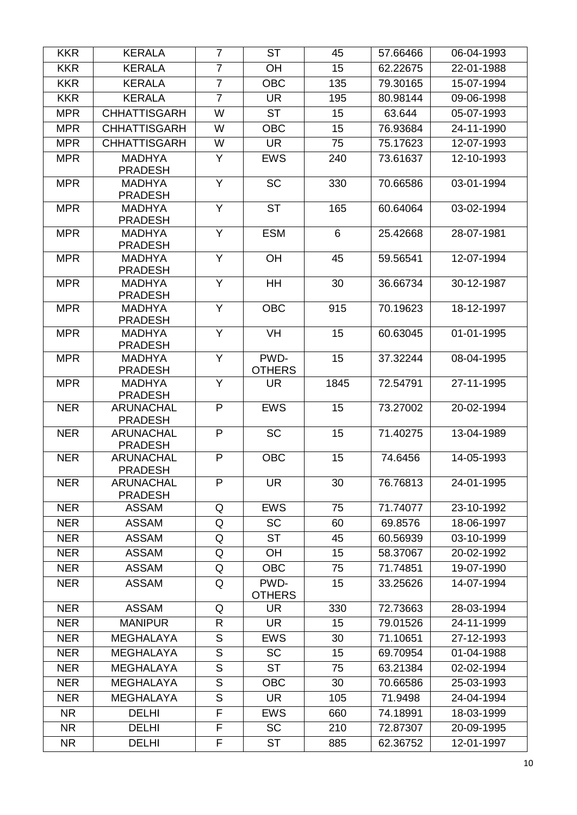| <b>KKR</b> | <b>KERALA</b>                      | $\overline{7}$ | <b>ST</b>                | 45   | 57.66466 | 06-04-1993 |
|------------|------------------------------------|----------------|--------------------------|------|----------|------------|
| <b>KKR</b> | <b>KERALA</b>                      | $\overline{7}$ | OH                       | 15   | 62.22675 | 22-01-1988 |
| <b>KKR</b> | <b>KERALA</b>                      | $\overline{7}$ | <b>OBC</b>               | 135  | 79.30165 | 15-07-1994 |
| <b>KKR</b> | <b>KERALA</b>                      | $\overline{7}$ | <b>UR</b>                | 195  | 80.98144 | 09-06-1998 |
| <b>MPR</b> | <b>CHHATTISGARH</b>                | W              | <b>ST</b>                | 15   | 63.644   | 05-07-1993 |
| <b>MPR</b> | <b>CHHATTISGARH</b>                | W              | <b>OBC</b>               | 15   | 76.93684 | 24-11-1990 |
| <b>MPR</b> | <b>CHHATTISGARH</b>                | W              | <b>UR</b>                | 75   | 75.17623 | 12-07-1993 |
| <b>MPR</b> | <b>MADHYA</b>                      | Y              | <b>EWS</b>               | 240  | 73.61637 | 12-10-1993 |
|            | <b>PRADESH</b>                     |                |                          |      |          |            |
| <b>MPR</b> | <b>MADHYA</b>                      | Y              | $\overline{SC}$          | 330  | 70.66586 | 03-01-1994 |
| <b>MPR</b> | <b>PRADESH</b><br><b>MADHYA</b>    | $\overline{Y}$ | $\overline{\text{ST}}$   | 165  | 60.64064 | 03-02-1994 |
|            | <b>PRADESH</b>                     |                |                          |      |          |            |
| <b>MPR</b> | <b>MADHYA</b>                      | Y              | <b>ESM</b>               | 6    | 25.42668 | 28-07-1981 |
|            | <b>PRADESH</b>                     |                |                          |      |          |            |
| <b>MPR</b> | <b>MADHYA</b>                      | Y              | OH                       | 45   | 59.56541 | 12-07-1994 |
| <b>MPR</b> | <b>PRADESH</b><br><b>MADHYA</b>    | Y              | HH                       | 30   | 36.66734 | 30-12-1987 |
|            | <b>PRADESH</b>                     |                |                          |      |          |            |
| <b>MPR</b> | <b>MADHYA</b>                      | $\overline{Y}$ | <b>OBC</b>               | 915  | 70.19623 | 18-12-1997 |
|            | <b>PRADESH</b>                     |                |                          |      |          |            |
| <b>MPR</b> | <b>MADHYA</b>                      | Y              | <b>VH</b>                | 15   | 60.63045 | 01-01-1995 |
| <b>MPR</b> | <b>PRADESH</b><br><b>MADHYA</b>    | Y              | PWD-                     | 15   | 37.32244 | 08-04-1995 |
|            | <b>PRADESH</b>                     |                | <b>OTHERS</b>            |      |          |            |
| <b>MPR</b> | <b>MADHYA</b>                      | Y              | <b>UR</b>                | 1845 | 72.54791 | 27-11-1995 |
|            | <b>PRADESH</b>                     |                |                          |      |          |            |
| <b>NER</b> | <b>ARUNACHAL</b>                   | P              | <b>EWS</b>               | 15   | 73.27002 | 20-02-1994 |
| <b>NER</b> | <b>PRADESH</b><br><b>ARUNACHAL</b> | P              | <b>SC</b>                | 15   | 71.40275 | 13-04-1989 |
|            | <b>PRADESH</b>                     |                |                          |      |          |            |
| <b>NER</b> | <b>ARUNACHAL</b>                   | P              | <b>OBC</b>               | 15   | 74.6456  | 14-05-1993 |
|            | <b>PRADESH</b>                     |                |                          |      |          |            |
| <b>NER</b> | <b>ARUNACHAL</b>                   | P              | $\overline{\mathsf{UR}}$ | 30   | 76.76813 | 24-01-1995 |
| <b>NER</b> | <b>PRADESH</b><br><b>ASSAM</b>     | Q              | <b>EWS</b>               | 75   | 71.74077 | 23-10-1992 |
| <b>NER</b> | <b>ASSAM</b>                       | Q              | <b>SC</b>                | 60   | 69.8576  | 18-06-1997 |
| <b>NER</b> | <b>ASSAM</b>                       | Q              | <b>ST</b>                | 45   | 60.56939 | 03-10-1999 |
| <b>NER</b> | <b>ASSAM</b>                       | Q              | <b>OH</b>                | 15   | 58.37067 | 20-02-1992 |
| <b>NER</b> | <b>ASSAM</b>                       | Q              | <b>OBC</b>               | 75   | 71.74851 | 19-07-1990 |
| <b>NER</b> | <b>ASSAM</b>                       | Q              | PWD-                     | 15   | 33.25626 | 14-07-1994 |
|            |                                    |                | <b>OTHERS</b>            |      |          |            |
| <b>NER</b> | <b>ASSAM</b>                       | Q              | UR.                      | 330  | 72.73663 | 28-03-1994 |
| <b>NER</b> | <b>MANIPUR</b>                     | R              | <b>UR</b>                | 15   | 79.01526 | 24-11-1999 |
| <b>NER</b> | <b>MEGHALAYA</b>                   | $\mathsf S$    | <b>EWS</b>               | 30   | 71.10651 | 27-12-1993 |
| <b>NER</b> | <b>MEGHALAYA</b>                   | S              | <b>SC</b>                | 15   | 69.70954 | 01-04-1988 |
| <b>NER</b> | <b>MEGHALAYA</b>                   | S              | <b>ST</b>                | 75   | 63.21384 | 02-02-1994 |
| <b>NER</b> | <b>MEGHALAYA</b>                   | $\mathsf S$    | <b>OBC</b>               | 30   | 70.66586 | 25-03-1993 |
| <b>NER</b> | <b>MEGHALAYA</b>                   | $\mathsf S$    | <b>UR</b>                | 105  | 71.9498  | 24-04-1994 |
| <b>NR</b>  | <b>DELHI</b>                       | $\overline{F}$ | <b>EWS</b>               | 660  | 74.18991 | 18-03-1999 |
| <b>NR</b>  | <b>DELHI</b>                       | F              | <b>SC</b>                | 210  | 72.87307 | 20-09-1995 |
| <b>NR</b>  | <b>DELHI</b>                       | F              | <b>ST</b>                | 885  | 62.36752 | 12-01-1997 |
|            |                                    |                |                          |      |          |            |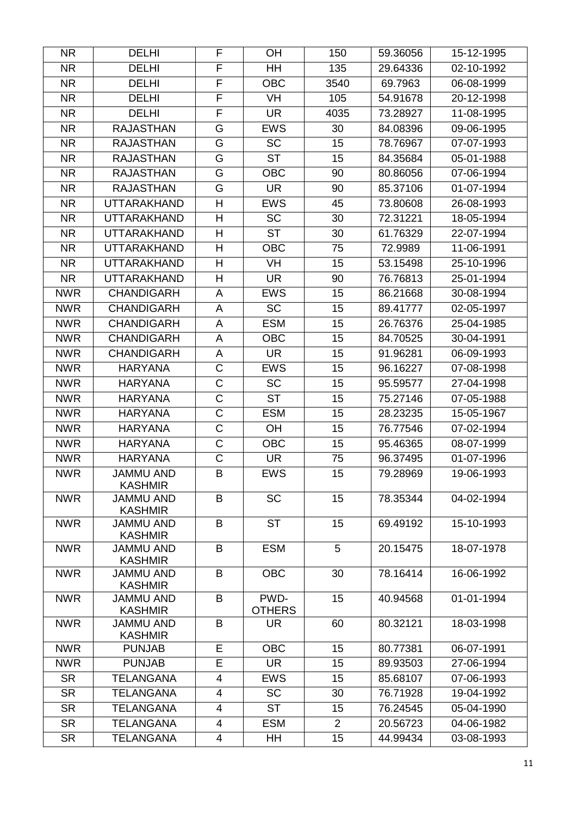| <b>NR</b>  | <b>DELHI</b>                       | F                     | OH                     | 150            | 59.36056 | 15-12-1995 |
|------------|------------------------------------|-----------------------|------------------------|----------------|----------|------------|
| <b>NR</b>  | <b>DELHI</b>                       | $\overline{F}$        | HH                     | 135            | 29.64336 | 02-10-1992 |
| <b>NR</b>  | <b>DELHI</b>                       | F                     | <b>OBC</b>             | 3540           | 69.7963  | 06-08-1999 |
| NR.        | <b>DELHI</b>                       | F                     | VH                     | 105            | 54.91678 | 20-12-1998 |
| <b>NR</b>  | <b>DELHI</b>                       | $\overline{F}$        | <b>UR</b>              | 4035           | 73.28927 | 11-08-1995 |
| <b>NR</b>  | <b>RAJASTHAN</b>                   | G                     | <b>EWS</b>             | 30             | 84.08396 | 09-06-1995 |
| <b>NR</b>  | <b>RAJASTHAN</b>                   | G                     | <b>SC</b>              | 15             | 78.76967 | 07-07-1993 |
| NR.        | <b>RAJASTHAN</b>                   | G                     | <b>ST</b>              | 15             | 84.35684 | 05-01-1988 |
| NR.        | <b>RAJASTHAN</b>                   | G                     | <b>OBC</b>             | 90             | 80.86056 | 07-06-1994 |
| NR.        | <b>RAJASTHAN</b>                   | G                     | <b>UR</b>              | 90             | 85.37106 | 01-07-1994 |
| NR.        | <b>UTTARAKHAND</b>                 | H                     | <b>EWS</b>             | 45             | 73.80608 | 26-08-1993 |
| <b>NR</b>  | <b>UTTARAKHAND</b>                 | H                     | <b>SC</b>              | 30             | 72.31221 | 18-05-1994 |
| <b>NR</b>  | <b>UTTARAKHAND</b>                 | H                     | <b>ST</b>              | 30             | 61.76329 | 22-07-1994 |
| <b>NR</b>  | <b>UTTARAKHAND</b>                 | H                     | <b>OBC</b>             | 75             | 72.9989  | 11-06-1991 |
| <b>NR</b>  | <b>UTTARAKHAND</b>                 | H                     | VH                     | 15             | 53.15498 | 25-10-1996 |
| <b>NR</b>  | <b>UTTARAKHAND</b>                 | Н                     | <b>UR</b>              | 90             | 76.76813 | 25-01-1994 |
| <b>NWR</b> | <b>CHANDIGARH</b>                  | A                     | <b>EWS</b>             | 15             | 86.21668 | 30-08-1994 |
| <b>NWR</b> | <b>CHANDIGARH</b>                  | A                     | <b>SC</b>              | 15             | 89.41777 | 02-05-1997 |
| <b>NWR</b> | <b>CHANDIGARH</b>                  | A                     | <b>ESM</b>             | 15             | 26.76376 | 25-04-1985 |
| <b>NWR</b> | <b>CHANDIGARH</b>                  | A                     | <b>OBC</b>             | 15             | 84.70525 | 30-04-1991 |
| <b>NWR</b> | <b>CHANDIGARH</b>                  | A                     | <b>UR</b>              | 15             | 91.96281 | 06-09-1993 |
| <b>NWR</b> | <b>HARYANA</b>                     | $\mathsf C$           | <b>EWS</b>             | 15             | 96.16227 | 07-08-1998 |
| <b>NWR</b> | <b>HARYANA</b>                     | $\mathsf C$           | <b>SC</b>              | 15             | 95.59577 | 27-04-1998 |
| <b>NWR</b> | <b>HARYANA</b>                     | $\overline{\text{C}}$ | $\overline{\text{ST}}$ | 15             | 75.27146 | 07-05-1988 |
| <b>NWR</b> | <b>HARYANA</b>                     | C                     | <b>ESM</b>             | 15             | 28.23235 | 15-05-1967 |
| <b>NWR</b> | <b>HARYANA</b>                     | $\mathsf C$           | OH                     | 15             | 76.77546 | 07-02-1994 |
| <b>NWR</b> | <b>HARYANA</b>                     | C                     | <b>OBC</b>             | 15             | 95.46365 | 08-07-1999 |
| <b>NWR</b> | <b>HARYANA</b>                     | C                     | UR.                    | 75             | 96.37495 | 01-07-1996 |
| <b>NWR</b> | <b>JAMMU AND</b><br><b>KASHMIR</b> | B                     | <b>EWS</b>             | 15             | 79.28969 | 19-06-1993 |
| <b>NWR</b> | <b>JAMMU AND</b>                   | B                     | <b>SC</b>              | 15             | 78.35344 | 04-02-1994 |
|            | <b>KASHMIR</b>                     |                       |                        |                |          |            |
| <b>NWR</b> | <b>JAMMU AND</b><br><b>KASHMIR</b> | B                     | <b>ST</b>              | 15             | 69.49192 | 15-10-1993 |
| <b>NWR</b> | <b>JAMMU AND</b><br><b>KASHMIR</b> | B                     | <b>ESM</b>             | 5              | 20.15475 | 18-07-1978 |
| <b>NWR</b> | <b>JAMMU AND</b><br><b>KASHMIR</b> | B                     | <b>OBC</b>             | 30             | 78.16414 | 16-06-1992 |
| <b>NWR</b> | JAMMU AND<br><b>KASHMIR</b>        | B                     | PWD-<br><b>OTHERS</b>  | 15             | 40.94568 | 01-01-1994 |
| <b>NWR</b> | <b>JAMMU AND</b>                   | B                     | UR.                    | 60             | 80.32121 | 18-03-1998 |
|            | <b>KASHMIR</b>                     |                       |                        |                |          |            |
| <b>NWR</b> | <b>PUNJAB</b>                      | E                     | <b>OBC</b>             | 15             | 80.77381 | 06-07-1991 |
| <b>NWR</b> | <b>PUNJAB</b>                      | E                     | <b>UR</b>              | 15             | 89.93503 | 27-06-1994 |
| <b>SR</b>  | <b>TELANGANA</b>                   | 4                     | <b>EWS</b>             | 15             | 85.68107 | 07-06-1993 |
| <b>SR</b>  | <b>TELANGANA</b>                   | 4                     | <b>SC</b>              | 30             | 76.71928 | 19-04-1992 |
| <b>SR</b>  | <b>TELANGANA</b>                   | $\overline{4}$        | <b>ST</b>              | 15             | 76.24545 | 05-04-1990 |
| <b>SR</b>  | <b>TELANGANA</b>                   | 4                     | <b>ESM</b>             | $\overline{2}$ | 20.56723 | 04-06-1982 |
| <b>SR</b>  | <b>TELANGANA</b>                   | 4                     | HH                     | 15             | 44.99434 | 03-08-1993 |